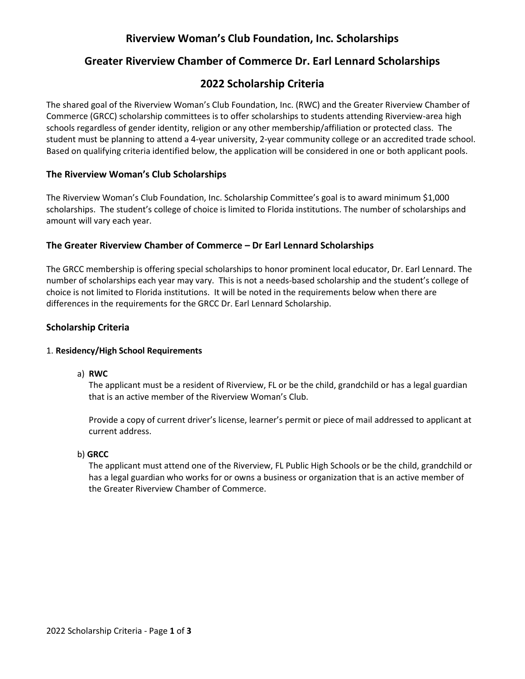# **Riverview Woman's Club Foundation, Inc. Scholarships**

# **Greater Riverview Chamber of Commerce Dr. Earl Lennard Scholarships**

# **2022 Scholarship Criteria**

The shared goal of the Riverview Woman's Club Foundation, Inc. (RWC) and the Greater Riverview Chamber of Commerce (GRCC) scholarship committees is to offer scholarships to students attending Riverview-area high schools regardless of gender identity, religion or any other membership/affiliation or protected class. The student must be planning to attend a 4-year university, 2-year community college or an accredited trade school. Based on qualifying criteria identified below, the application will be considered in one or both applicant pools.

### **The Riverview Woman's Club Scholarships**

The Riverview Woman's Club Foundation, Inc. Scholarship Committee's goal is to award minimum \$1,000 scholarships. The student's college of choice is limited to Florida institutions. The number of scholarships and amount will vary each year.

## **The Greater Riverview Chamber of Commerce – Dr Earl Lennard Scholarships**

The GRCC membership is offering special scholarships to honor prominent local educator, Dr. Earl Lennard. The number of scholarships each year may vary. This is not a needs-based scholarship and the student's college of choice is not limited to Florida institutions. It will be noted in the requirements below when there are differences in the requirements for the GRCC Dr. Earl Lennard Scholarship.

## **Scholarship Criteria**

#### 1. **Residency/High School Requirements**

a) **RWC**

The applicant must be a resident of Riverview, FL or be the child, grandchild or has a legal guardian that is an active member of the Riverview Woman's Club.

Provide a copy of current driver's license, learner's permit or piece of mail addressed to applicant at current address.

#### b) **GRCC**

The applicant must attend one of the Riverview, FL Public High Schools or be the child, grandchild or has a legal guardian who works for or owns a business or organization that is an active member of the Greater Riverview Chamber of Commerce.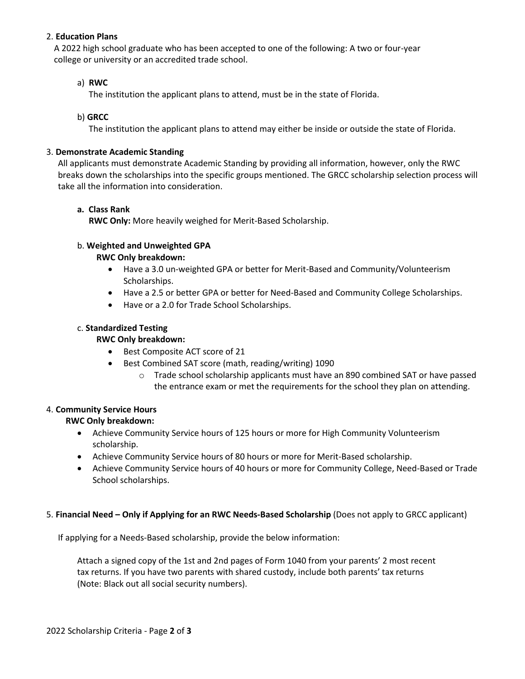#### 2. **Education Plans**

A 2022 high school graduate who has been accepted to one of the following: A two or four-year college or university or an accredited trade school.

#### a) **RWC**

The institution the applicant plans to attend, must be in the state of Florida.

#### b) **GRCC**

The institution the applicant plans to attend may either be inside or outside the state of Florida.

#### 3. **Demonstrate Academic Standing**

All applicants must demonstrate Academic Standing by providing all information, however, only the RWC breaks down the scholarships into the specific groups mentioned. The GRCC scholarship selection process will take all the information into consideration.

### **a. Class Rank**

**RWC Only:** More heavily weighed for Merit-Based Scholarship.

### b. **Weighted and Unweighted GPA**

### **RWC Only breakdown:**

- Have a 3.0 un-weighted GPA or better for Merit-Based and Community/Volunteerism Scholarships.
- Have a 2.5 or better GPA or better for Need-Based and Community College Scholarships.
- Have or a 2.0 for Trade School Scholarships.

### c. **Standardized Testing**

#### **RWC Only breakdown:**

- Best Composite ACT score of 21
- Best Combined SAT score (math, reading/writing) 1090
	- o Trade school scholarship applicants must have an 890 combined SAT or have passed the entrance exam or met the requirements for the school they plan on attending.

#### 4. **Community Service Hours**

## **RWC Only breakdown:**

- Achieve Community Service hours of 125 hours or more for High Community Volunteerism scholarship.
- Achieve Community Service hours of 80 hours or more for Merit-Based scholarship.
- Achieve Community Service hours of 40 hours or more for Community College, Need-Based or Trade School scholarships.

#### 5. **Financial Need – Only if Applying for an RWC Needs-Based Scholarship** (Does not apply to GRCC applicant)

If applying for a Needs-Based scholarship, provide the below information:

Attach a signed copy of the 1st and 2nd pages of Form 1040 from your parents' 2 most recent tax returns. If you have two parents with shared custody, include both parents' tax returns (Note: Black out all social security numbers).